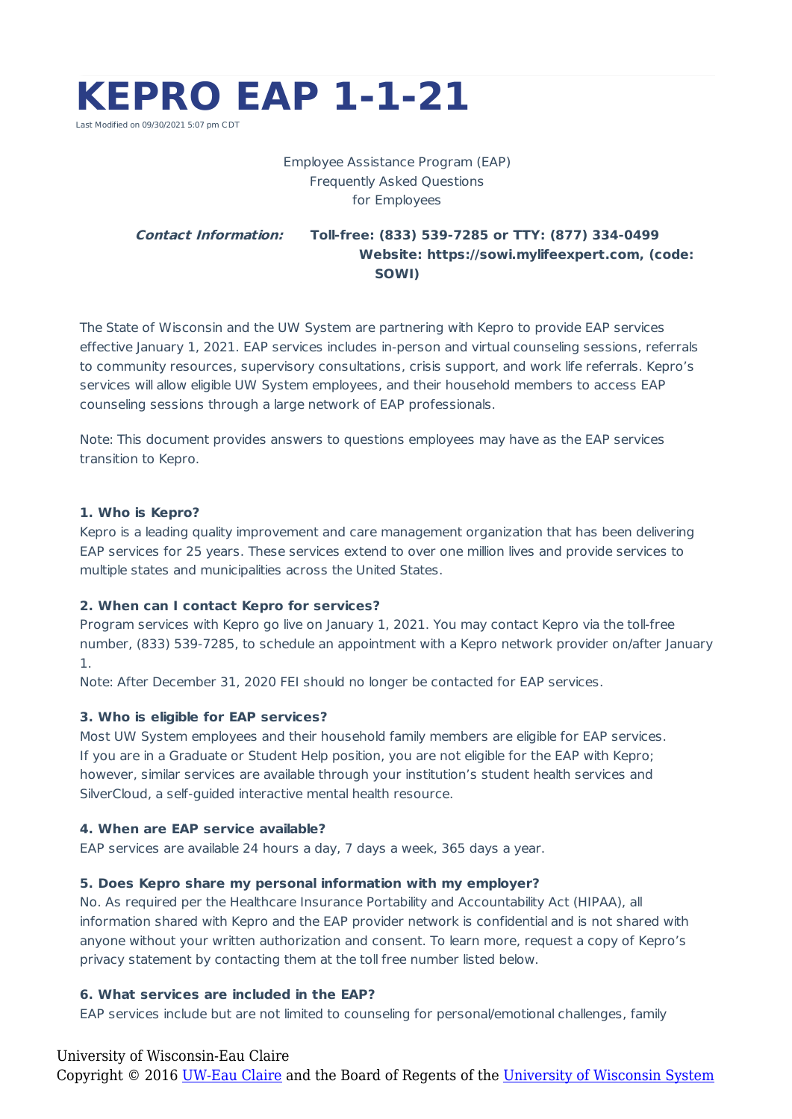

# Employee Assistance Program (EAP) Frequently Asked Questions for Employees

## **Contact Information: Toll-free: (833) 539-7285 or TTY: (877) 334-0499 Website: https://sowi.mylifeexpert.com, (code: SOWI)**

The State of Wisconsin and the UW System are partnering with Kepro to provide EAP services effective January 1, 2021. EAP services includes in-person and virtual counseling sessions, referrals to community resources, supervisory consultations, crisis support, and work life referrals. Kepro's services will allow eligible UW System employees, and their household members to access EAP counseling sessions through a large network of EAP professionals.

Note: This document provides answers to questions employees may have as the EAP services transition to Kepro.

## **1. Who is Kepro?**

Kepro is a leading quality improvement and care management organization that has been delivering EAP services for 25 years. These services extend to over one million lives and provide services to multiple states and municipalities across the United States.

## **2. When can I contact Kepro for services?**

Program services with Kepro go live on January 1, 2021. You may contact Kepro via the toll-free number, (833) 539-7285, to schedule an appointment with a Kepro network provider on/after January 1.

Note: After December 31, 2020 FEI should no longer be contacted for EAP services.

## **3. Who is eligible for EAP services?**

Most UW System employees and their household family members are eligible for EAP services. If you are in a Graduate or Student Help position, you are not eligible for the EAP with Kepro; however, similar services are available through your institution's student health services and SilverCloud, a self-guided interactive mental health resource.

## **4. When are EAP service available?**

EAP services are available 24 hours a day, 7 days a week, 365 days a year.

## **5. Does Kepro share my personal information with my employer?**

No. As required per the Healthcare Insurance Portability and Accountability Act (HIPAA), all information shared with Kepro and the EAP provider network is confidential and is not shared with anyone without your written authorization and consent. To learn more, request a copy of Kepro's privacy statement by contacting them at the toll free number listed below.

## **6. What services are included in the EAP?**

EAP services include but are not limited to counseling for personal/emotional challenges, family

## University of Wisconsin-Eau Claire

Copyright © 2016 [UW-Eau Claire](http://www.uwec.edu) and the Board of Regents of the [University of Wisconsin System](http://www.uwsa.edu/)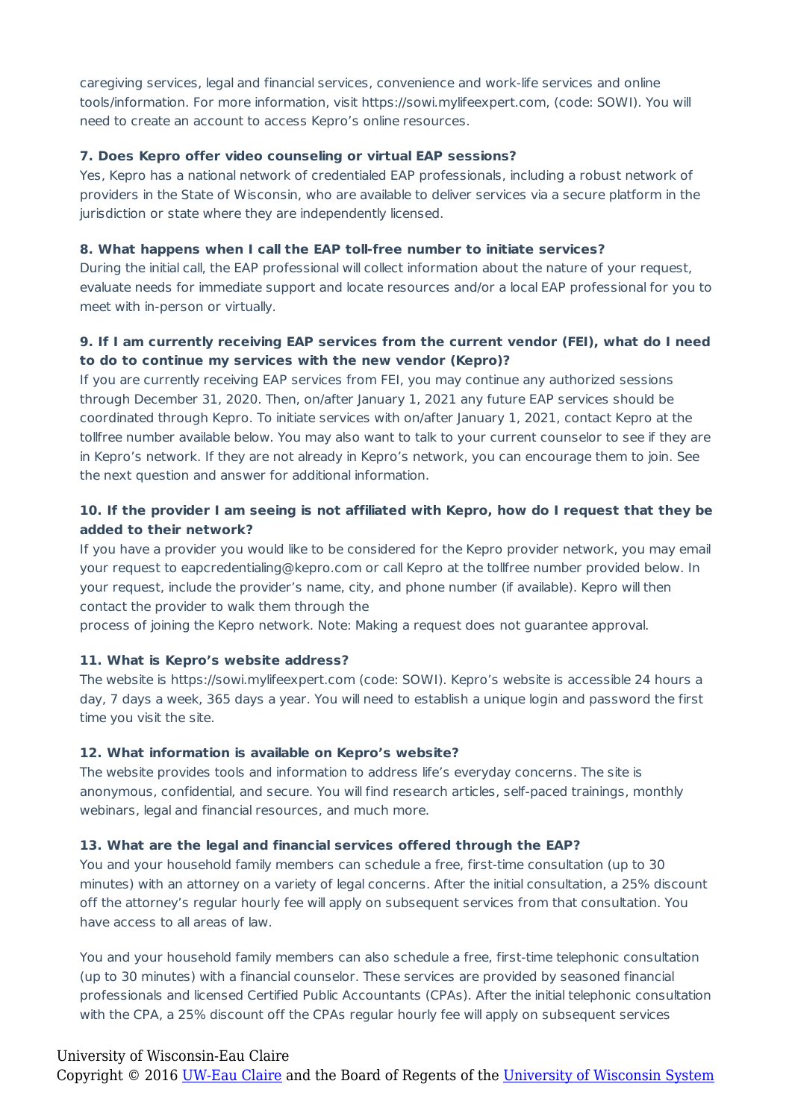caregiving services, legal and financial services, convenience and work-life services and online tools/information. For more information, visit https://sowi.mylifeexpert.com, (code: SOWI). You will need to create an account to access Kepro's online resources.

## **7. Does Kepro offer video counseling or virtual EAP sessions?**

Yes, Kepro has a national network of credentialed EAP professionals, including a robust network of providers in the State of Wisconsin, who are available to deliver services via a secure platform in the jurisdiction or state where they are independently licensed.

#### **8. What happens when I call the EAP toll-free number to initiate services?**

During the initial call, the EAP professional will collect information about the nature of your request, evaluate needs for immediate support and locate resources and/or a local EAP professional for you to meet with in-person or virtually.

## **9. If I am currently receiving EAP services from the current vendor (FEI), what do I need to do to continue my services with the new vendor (Kepro)?**

If you are currently receiving EAP services from FEI, you may continue any authorized sessions through December 31, 2020. Then, on/after January 1, 2021 any future EAP services should be coordinated through Kepro. To initiate services with on/after January 1, 2021, contact Kepro at the tollfree number available below. You may also want to talk to your current counselor to see if they are in Kepro's network. If they are not already in Kepro's network, you can encourage them to join. See the next question and answer for additional information.

## **10. If the provider I am seeing is not affiliated with Kepro, how do I request that they be added to their network?**

If you have a provider you would like to be considered for the Kepro provider network, you may email your request to eapcredentialing@kepro.com or call Kepro at the tollfree number provided below. In your request, include the provider's name, city, and phone number (if available). Kepro will then contact the provider to walk them through the

process of joining the Kepro network. Note: Making a request does not guarantee approval.

#### **11. What is Kepro's website address?**

The website is https://sowi.mylifeexpert.com (code: SOWI). Kepro's website is accessible 24 hours a day, 7 days a week, 365 days a year. You will need to establish a unique login and password the first time you visit the site.

#### **12. What information is available on Kepro's website?**

The website provides tools and information to address life's everyday concerns. The site is anonymous, confidential, and secure. You will find research articles, self-paced trainings, monthly webinars, legal and financial resources, and much more.

#### **13. What are the legal and financial services offered through the EAP?**

You and your household family members can schedule a free, first-time consultation (up to 30 minutes) with an attorney on a variety of legal concerns. After the initial consultation, a 25% discount off the attorney's regular hourly fee will apply on subsequent services from that consultation. You have access to all areas of law.

You and your household family members can also schedule a free, first-time telephonic consultation (up to 30 minutes) with a financial counselor. These services are provided by seasoned financial professionals and licensed Certified Public Accountants (CPAs). After the initial telephonic consultation with the CPA, a 25% discount off the CPAs regular hourly fee will apply on subsequent services

### University of Wisconsin-Eau Claire

Copyright © 2016 [UW-Eau Claire](http://www.uwec.edu) and the Board of Regents of the [University of Wisconsin System](http://www.uwsa.edu/)